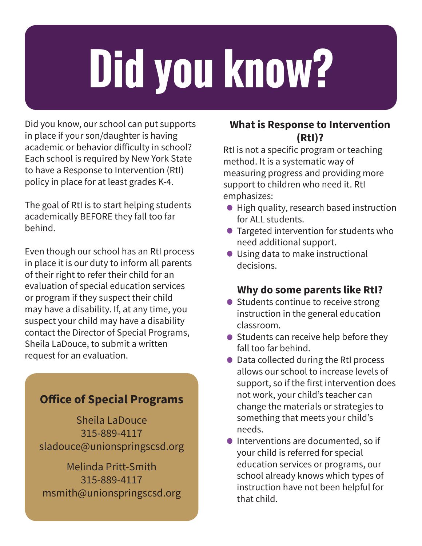# **Did you know?**

Did you know, our school can put supports in place if your son/daughter is having academic or behavior difficulty in school? Each school is required by New York State to have a Response to Intervention (RtI) policy in place for at least grades K-4.

The goal of RtI is to start helping students academically BEFORE they fall too far behind.

Even though our school has an RtI process in place it is our duty to inform all parents of their right to refer their child for an evaluation of special education services or program if they suspect their child may have a disability. If, at any time, you suspect your child may have a disability contact the Director of Special Programs, Sheila LaDouce, to submit a written request for an evaluation.

#### **Office of Special Programs**

Sheila LaDouce 315-889-4117 sladouce@unionspringscsd.org

Melinda Pritt-Smith 315-889-4117 msmith@unionspringscsd.org

#### **What is Response to Intervention (RtI)?**

RtI is not a specific program or teaching method. It is a systematic way of measuring progress and providing more support to children who need it. RtI emphasizes:

- High quality, research based instruction for ALL students.
- Targeted intervention for students who need additional support.
- Using data to make instructional decisions.

#### **Why do some parents like RtI?**

- Students continue to receive strong instruction in the general education classroom.
- $\bullet$  Students can receive help before they fall too far behind.
- Data collected during the RtI process allows our school to increase levels of support, so if the first intervention does not work, your child's teacher can change the materials or strategies to something that meets your child's needs.
- **Interventions are documented, so if**  your child is referred for special education services or programs, our school already knows which types of instruction have not been helpful for that child.